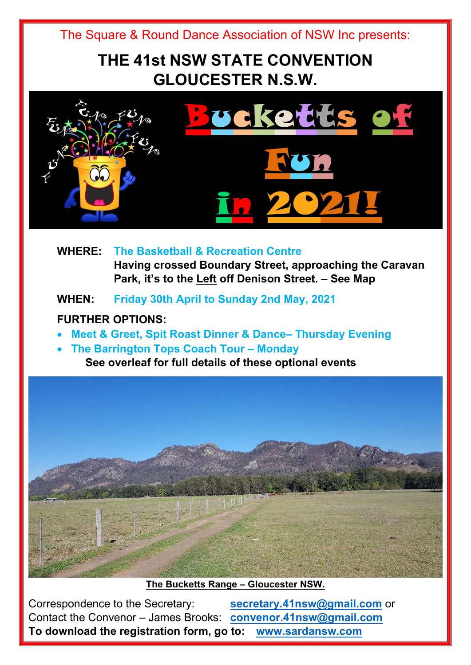## **THE 41st NSW STATE CONVENTION GLOUCESTER N.S.W.**



 **WHERE: The Basketball & Recreation Centre Having crossed Boundary Street, approaching the Caravan Park, it's to the Left off Denison Street. – See Map** 

 **WHEN: Friday 30th April to Sunday 2nd May, 2021** 

## **FURTHER OPTIONS:**

- **Meet & Greet, Spit Roast Dinner & Dance– Thursday Evening**
- **The Barrington Tops Coach Tour Monday** 
	- **See overleaf for full details of these optional events**



**The Bucketts Range – Gloucester NSW.** 

Correspondence to the Secretary: **secretary.41nsw@gmail.com** or Contact the Convenor – James Brooks: **convenor.41nsw@gmail.com To download the registration form, go to: www.sardansw.com**